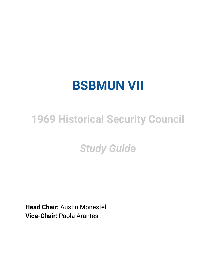# **BSBMUN VII**

## **1969 Historical Security Council**

## *Study Guide*

**Head Chair:** Austin Monestel **Vice-Chair:** Paola Arantes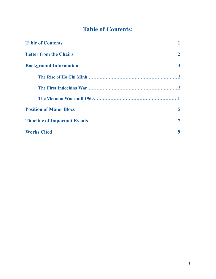## **Table of Contents:**

| <b>Table of Contents</b>            |              |
|-------------------------------------|--------------|
| <b>Letter from the Chairs</b>       | $\mathbf{2}$ |
| <b>Background Information</b>       | $\mathbf{3}$ |
|                                     |              |
|                                     |              |
|                                     |              |
| <b>Position of Major Blocs</b>      | 5            |
| <b>Timeline of Important Events</b> | 7            |
| <b>Works Cited</b>                  | 9            |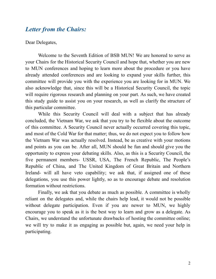## *Letter from the Chairs:*

#### Dear Delegates,

Welcome to the Seventh Edition of BSB MUN! We are honored to serve as your Chairs for the Historical Security Council and hope that, whether you are new to MUN conferences and hoping to learn more about the procedure or you have already attended conferences and are looking to expand your skills further, this committee will provide you with the experience you are looking for in MUN. We also acknowledge that, since this will be a Historical Security Council, the topic will require rigorous research and planning on your part. As such, we have created this study guide to assist you on your research, as well as clarify the structure of this particular committee.

While this Security Council will deal with a subject that has already concluded, the Vietnam War, we ask that you try to be flexible about the outcome of this committee. A Security Council never actually occurred covering this topic, and most of the Cold War for that matter; thus, we do not expect you to follow how the Vietnam War was actually resolved. Instead, be as creative with your motions and points as you can be. After all, MUN should be fun and should give you the opportunity to express your debating skills. Also, as this is a Security Council, the five permanent members- USSR, USA, The French Republic, The People's Republic of China, and The United Kingdom of Great Britain and Northern Ireland- will all have veto capability; we ask that, if assigned one of these delegations, you use this power lightly, so as to encourage debate and resolution formation without restrictions.

Finally, we ask that you debate as much as possible. A committee is wholly reliant on the delegates and, while the chairs help lead, it would not be possible without delegate participation. Even if you are newer to MUN, we highly encourage you to speak as it is the best way to learn and grow as a delegate. As Chairs, we understand the unfortunate drawbacks of hosting the committee online; we will try to make it as engaging as possible but, again, we need your help in participating.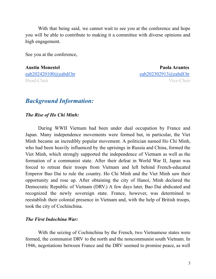With that being said, we cannot wait to see you at the conference and hope you will be able to contribute to making it a committee with diverse opinions and high engagement.

See you at the conference,

**Austin Monestel Paola Arantes** [eab202420100@eabdf.br](mailto:eab202420100@eabdf.br) [eab202302913@eabdf.br](mailto:eab202302913@eabdf.br) Head-Chair Vice-Chair

### *Background Information:*

*The Rise of Ho Chi Minh:*

During WWII Vietnam had been under dual occupation by France and Japan. Many independence movements were formed but, in particular, the Viet Minh became an incredibly popular movement. A politician named Ho Chi Minh, who had been heavily influenced by the uprisings in Russia and China, formed the Viet Minh, which strongly supported the independence of Vietnam as well as the formation of a communist state. After their defeat in World War II, Japan was forced to retreat their troops from Vietnam and left behind French-educated Emperor Bao Dai to rule the country. Ho Chi Minh and the Viet Minh saw their opportunity and rose up. After obtaining the city of Hanoi, Minh declared the Democratic Republic of Vietnam (DRV.) A few days later, Bao Dai abdicated and recognized the newly sovereign state. France, however, was determined to reestablish their colonial presence in Vietnam and, with the help of British troops, took the city of Cochinchina.

#### *The First Indochina War:*

With the seizing of Cochinchina by the French, two Vietnamese states were formed, the communist DRV to the north and the noncommunist south Vietnam. In 1946, negotiations between France and the DRV seemed to promise peace, as well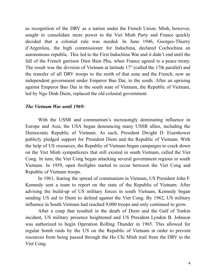as recognition of the DRV as a nation under the French Union. Minh, however, sought to consolidate more power to the Viet Minh Party and France quickly decided that a colonial rule was needed. In June 1946, Georges-Thierry d'Argenlieu, the high commissioner for Indochina, declared Cochochina an autonomous republic. This led to the First Indochina War and it didn't end until the fall of the French garrison Dien Bien Phu, when France agreed to a peace treaty. The result was the division of Vietnam at latitude 17° (called the 17th parallel) and the transfer of all DRV troops to the north of that zone and the French, now an independent government under Emperor Bao Dai, to the south. After an uprising against Emperor Bao Dai in the south state of Vietnam, the Republic of Vietnam, led by Ngo Dinh Diem, replaced the old colonial government.

#### *The Vietnam War until 1969:*

With the USSR and communism's increasingly dominating influence in Europe and Asia, the USA began denouncing many USSR allies, including the Democratic Republic of Vietnam. As such, President Dwight D. Eisenhower publicly pledged support for President Diem and the Republic of Vietnam. With the help of US resources, the Republic of Vietnam began campaigns to crack down on the Viet Minh sympathizers that still existed in south Vietnam, called the Viet Cong. In turn, the Viet Cong began attacking several government regions in south Vietnam. In 1959, open firefights started to occur between the Viet Cong and Republic of Vietnam troops.

In 1961, fearing the spread of communism in Vietnam, US President John F. Kennedy sent a team to report on the state of the Republic of Vietnam. After advising the build-up of US military forces in south Vietnam, Kennedy began sending US aid to Diem to defend against the Viet Cong. By 1962, US military influence in South Vietnam had reached 9,000 troops and only continued to grow.

After a coup that resulted in the death of Diem and the Gulf of Tonkin incident, US military presence heightened and US President Lyndon B. Johnson was authorized to begin Operation Rolling Thunder in 1965. This allowed for regular bomb raids by the US on the Republic of Vietnam in order to prevent resources from being passed through the Ho Chi Minh trail from the DRV to the Viet Cong.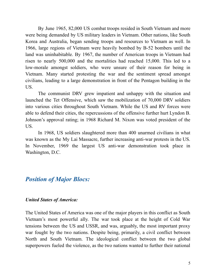By June 1965, 82,000 US combat troops resided in South Vietnam and more were being demanded by US military leaders in Vietnam. Other nations, like South Korea and Australia, began sending troops and resources to Vietnam as well. In 1966, large regions of Vietnam were heavily bombed by B-52 bombers until the land was uninhabitable. By 1967, the number of American troops in Vietnam had risen to nearly 500,000 and the mortalities had reached 15,000. This led to a low-morale amongst soldiers, who were unsure of their reason for being in Vietnam. Many started protesting the war and the sentiment spread amongst civilians, leading to a large demonstration in front of the Pentagon building in the US.

The communist DRV grew impatient and unhappy with the situation and launched the Tet Offensive, which saw the mobilization of 70,000 DRV soldiers into various cities throughout South Vietnam. While the US and RV forces were able to defend their cities, the repercussions of the offensive further hurt Lyndon B. Johnson's approval rating; in 1968 Richard M. Nixon was voted president of the US.

In 1968, US soldiers slaughtered more than 400 unarmed civilians in what was known as the My Lai Massacre, further increasing anti-war protests in the US. In November, 1969 the largest US anti-war demonstration took place in Washington, D.C.

## *Position of Major Blocs:*

#### *United States of America:*

The United States of America was one of the major players in this conflict as South Vietnam's most powerful ally. The war took place at the height of Cold War tensions between the US and USSR, and was, arguably, the most important proxy war fought by the two nations. Despite being, primarily, a civil conflict between North and South Vietnam. The ideological conflict between the two global superpowers fueled the violence, as the two nations wanted to further their national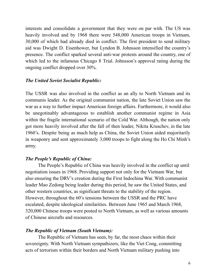interests and consolidate a government that they were on par with. The US was heavily involved and by 1968 there were 548,000 American troops in Vietnam, 30,000 of which had already died in conflict. The first president to send military aid was Dwight D. Eisenhower, but Lyndon B. Johnsson intensified the country's presence. The conflict sparked several anti-war protests around the country, one of which led to the infamous Chicago 8 Trial. Johnsson's approval rating during the ongoing conflict dropped over 30%.

#### *The United Soviet Socialist Republic:*

The USSR was also involved in the conflict as an ally to North Vietnam and its communis leader. As the original communist nation, the late Soviet Union saw the war as a way to further impact American foreign affairs. Furthermore, it would also be unegotinably advantageous to establish another communist regime in Asia within the fragile international scenario of the Cold War. Although, the nation only got more heavily involved after the fall of then leader, Nikita Kruschev, in the late 1960's. Despite being as much help as China, the Soviet Union aided majoritarily in weaponry and sent approximately 3,000 troops to fight along the Ho Chi Minh's army.

#### *The People's Republic of China:*

The People's Republic of China was heavily involved in the conflict up until negotiation issues in 1968. Providing support not only for the Vietnam War, but also ensuring the DRV's creation during the First Indochina War. With communist leader Mao Zedong being leader during this period, he saw the United States, and other western countries, as significant threats to the stability of the region. However, throughout the 60's tensions between the USSR and the PRC have escalated, despite ideological similarities. Between June 1965 and March 1968, 320,000 Chinese troops were posted to North Vietnam, as well as various amounts of Chinese aircrafts and resources.

#### *The Republic of Vietnam (South Vietnam):*

The Republic of Vietnam has seen, by far, the most chaos within their sovereignty. With North Vietnam sympathizers, like the Viet Cong, committing acts of terrorism within their borders and North Vietnam military pushing into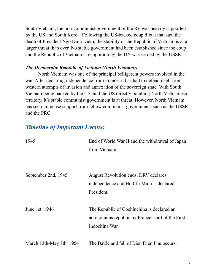South Vietnam, the non-communist government of the RV was heavily supported by the US and South Korea. Following the US-backed coup d'etat that saw the death of President Ngo Dinh Diem, the stability of the Republic of Vietnam is at a larger threat than ever. No stable government had been established since the coup and the Republic of Vietnam's recognition by the UN was vetoed by the USSR.

#### *The Democratic Republic of Vietnam (North Vietnam):*

North Vietnam was one of the principal belligerent powers involved in the war. After declaring independence from France, it has had to defend itself from western attempts of invasion and annexation of the sovereign state. With South Vietnam being backed by the US, and the US directly bombing North Vietnamese territory, it's stable communist government is at threat. However, North Vietnam has seen immense support from fellow communist governments such as the USSR and the PRC.

## *Timeline of Important Events:*

| 1945                     | End of World War II and the withdrawal of Japan   |
|--------------------------|---------------------------------------------------|
|                          | from Vietnam.                                     |
|                          |                                                   |
|                          |                                                   |
| September 2nd, 1945      | August Revolution ends, DRV declares              |
|                          | independence and Ho Chi Minh is declared          |
|                          | President.                                        |
| June 1st, 1946           | The Republic of Cochinchina is declared an        |
|                          | autonomous republic by France, start of the First |
|                          | Indochina War.                                    |
|                          |                                                   |
| March 13th-May 7th, 1954 | The Battle and fall of Bien Dien Phu occurs,      |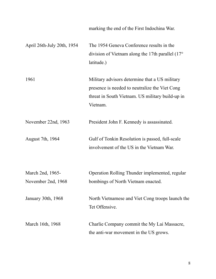|                                        | marking the end of the First Indochina War.                                                                                                                      |
|----------------------------------------|------------------------------------------------------------------------------------------------------------------------------------------------------------------|
| April 26th-July 20th, 1954             | The 1954 Geneva Conference results in the<br>division of Vietnam along the 17th parallel $(17^{\circ}$<br>latitude.)                                             |
| 1961                                   | Military advisors determine that a US military<br>presence is needed to neutralize the Viet Cong<br>threat in South Vietnam. US military build-up in<br>Vietnam. |
| November 22nd, 1963                    | President John F. Kennedy is assassinated.                                                                                                                       |
| August 7th, 1964                       | Gulf of Tonkin Resolution is passed, full-scale<br>involvement of the US in the Vietnam War.                                                                     |
| March 2nd, 1965-<br>November 2nd, 1968 | Operation Rolling Thunder implemented, regular<br>bombings of North Vietnam enacted.                                                                             |
| January 30th, 1968                     | North Vietnamese and Viet Cong troops launch the<br>Tet Offensive.                                                                                               |
| March 16th, 1968                       | Charlie Company commit the My Lai Massacre,<br>the anti-war movement in the US grows.                                                                            |